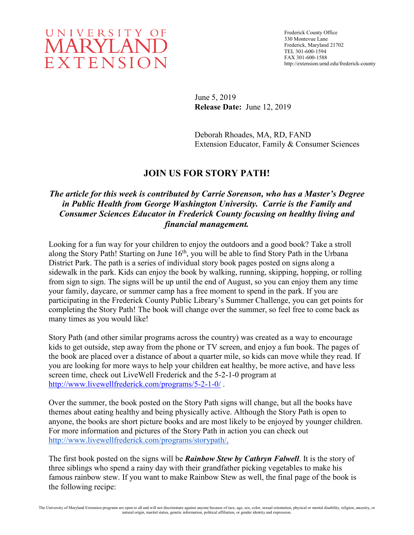

June 5, 2019 **Release Date:** June 12, 2019

Deborah Rhoades, MA, RD, FAND Extension Educator, Family & Consumer Sciences

## **JOIN US FOR STORY PATH!**

## *The article for this week is contributed by Carrie Sorenson, who has a Master's Degree in Public Health from George Washington University. Carrie is the Family and Consumer Sciences Educator in Frederick County focusing on healthy living and financial management.*

Looking for a fun way for your children to enjoy the outdoors and a good book? Take a stroll along the Story Path! Starting on June 16<sup>th</sup>, you will be able to find Story Path in the Urbana District Park. The path is a series of individual story book pages posted on signs along a sidewalk in the park. Kids can enjoy the book by walking, running, skipping, hopping, or rolling from sign to sign. The signs will be up until the end of August, so you can enjoy them any time your family, daycare, or summer camp has a free moment to spend in the park. If you are participating in the Frederick County Public Library's Summer Challenge, you can get points for completing the Story Path! The book will change over the summer, so feel free to come back as many times as you would like!

Story Path (and other similar programs across the country) was created as a way to encourage kids to get outside, step away from the phone or TV screen, and enjoy a fun book. The pages of the book are placed over a distance of about a quarter mile, so kids can move while they read. If you are looking for more ways to help your children eat healthy, be more active, and have less screen time, check out LiveWell Frederick and the 5-2-1-0 program at <http://www.livewellfrederick.com/programs/5-2-1-0/> .

Over the summer, the book posted on the Story Path signs will change, but all the books have themes about eating healthy and being physically active. Although the Story Path is open to anyone, the books are short picture books and are most likely to be enjoyed by younger children. For more information and pictures of the Story Path in action you can check out [http://www.livewellfrederick.com/programs/storypath/.](http://www.livewellfrederick.com/programs/storypath/)

The first book posted on the signs will be *Rainbow Stew by Cathryn Falwell*. It is the story of three siblings who spend a rainy day with their grandfather picking vegetables to make his famous rainbow stew. If you want to make Rainbow Stew as well, the final page of the book is the following recipe: